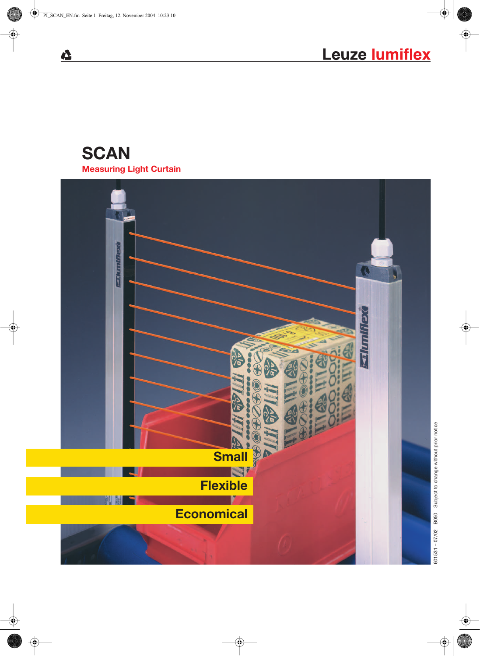# **SCAN Measuring Light Curtain**

 $\Delta$ 



601531 - 07/02 B050 Subject to change without prior notice 601531 – 07/02 B050 Subject to change without prior notice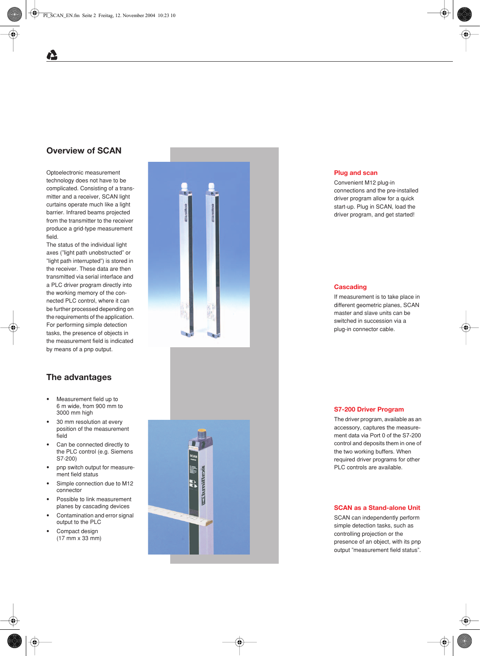# **Overview of SCAN**

Optoelectronic measurement technology does not have to be complicated. Consisting of a transmitter and a receiver, SCAN light curtains operate much like a light barrier. Infrared beams projected from the transmitter to the receiver produce a grid-type measurement field.

The status of the individual light axes ("light path unobstructed" or "light path interrupted") is stored in the receiver. These data are then transmitted via serial interface and a PLC driver program directly into the working memory of the connected PLC control, where it can be further processed depending on the requirements of the application. For performing simple detection tasks, the presence of objects in the measurement field is indicated by means of a pnp output.

## **The advantages**

- **•** Measurement field up to 6 m wide, from 900 mm to 3000 mm high
- **•** 30 mm resolution at every position of the measurement field
- **•** Can be connected directly to the PLC control (e.g. Siemens S7-200)
- **•** pnp switch output for measurement field status
- **•** Simple connection due to M12 connector
- **•** Possible to link measurement planes by cascading devices
- **•** Contamination and error signal output to the PLC
- **•** Compact design (17 mm x 33 mm)





### **Plug and scan**

Convenient M12 plug-in connections and the pre-installed driver program allow for a quick start-up. Plug in SCAN, load the driver program, and get started!

#### **Cascading**

If measurement is to take place in different geometric planes, SCAN master and slave units can be switched in succession via a plug-in connector cable.

#### **S7-200 Driver Program**

The driver program, available as an accessory, captures the measurement data via Port 0 of the S7-200 control and deposits them in one of the two working buffers. When required driver programs for other PLC controls are available.

### **SCAN as a Stand-alone Unit**

SCAN can independently perform simple detection tasks, such as controlling projection or the presence of an object, with its pnp output "measurement field status".